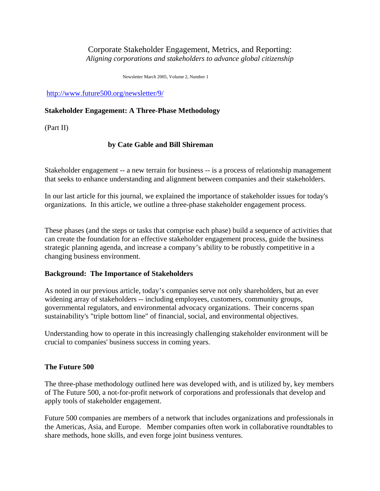# Corporate Stakeholder Engagement, Metrics, and Reporting: *Aligning corporations and stakeholders to advance global citizenship*

Newsletter March 2005, Volume 2, Number 1

#### http://www.future500.org/newsletter/9/

#### **Stakeholder Engagement: A Three-Phase Methodology**

(Part II)

# **by Cate Gable and Bill Shireman**

Stakeholder engagement -- a new terrain for business -- is a process of relationship management that seeks to enhance understanding and alignment between companies and their stakeholders.

In our last article for this journal, we explained the importance of stakeholder issues for today's organizations. In this article, we outline a three-phase stakeholder engagement process.

These phases (and the steps or tasks that comprise each phase) build a sequence of activities that can create the foundation for an effective stakeholder engagement process, guide the business strategic planning agenda, and increase a company's ability to be robustly competitive in a changing business environment.

#### **Background: The Importance of Stakeholders**

As noted in our previous article, today's companies serve not only shareholders, but an ever widening array of stakeholders -- including employees, customers, community groups, governmental regulators, and environmental advocacy organizations. Their concerns span sustainability's "triple bottom line" of financial, social, and environmental objectives.

Understanding how to operate in this increasingly challenging stakeholder environment will be crucial to companies' business success in coming years.

# **The Future 500**

The three-phase methodology outlined here was developed with, and is utilized by, key members of The Future 500, a not-for-profit network of corporations and professionals that develop and apply tools of stakeholder engagement.

Future 500 companies are members of a network that includes organizations and professionals in the Americas, Asia, and Europe. Member companies often work in collaborative roundtables to share methods, hone skills, and even forge joint business ventures.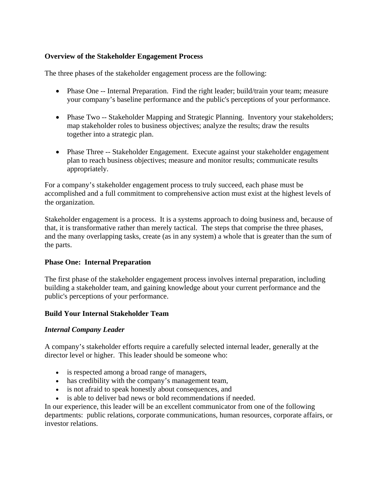# **Overview of the Stakeholder Engagement Process**

The three phases of the stakeholder engagement process are the following:

- Phase One -- Internal Preparation. Find the right leader; build/train your team; measure your company's baseline performance and the public's perceptions of your performance.
- Phase Two -- Stakeholder Mapping and Strategic Planning. Inventory your stakeholders; map stakeholder roles to business objectives; analyze the results; draw the results together into a strategic plan.
- Phase Three -- Stakeholder Engagement. Execute against your stakeholder engagement plan to reach business objectives; measure and monitor results; communicate results appropriately.

For a company's stakeholder engagement process to truly succeed, each phase must be accomplished and a full commitment to comprehensive action must exist at the highest levels of the organization.

Stakeholder engagement is a process. It is a systems approach to doing business and, because of that, it is transformative rather than merely tactical. The steps that comprise the three phases, and the many overlapping tasks, create (as in any system) a whole that is greater than the sum of the parts.

# **Phase One: Internal Preparation**

The first phase of the stakeholder engagement process involves internal preparation, including building a stakeholder team, and gaining knowledge about your current performance and the public's perceptions of your performance.

#### **Build Your Internal Stakeholder Team**

#### *Internal Company Leader*

A company's stakeholder efforts require a carefully selected internal leader, generally at the director level or higher. This leader should be someone who:

- is respected among a broad range of managers,
- has credibility with the company's management team,
- is not afraid to speak honestly about consequences, and
- is able to deliver bad news or bold recommendations if needed.

In our experience, this leader will be an excellent communicator from one of the following departments: public relations, corporate communications, human resources, corporate affairs, or investor relations.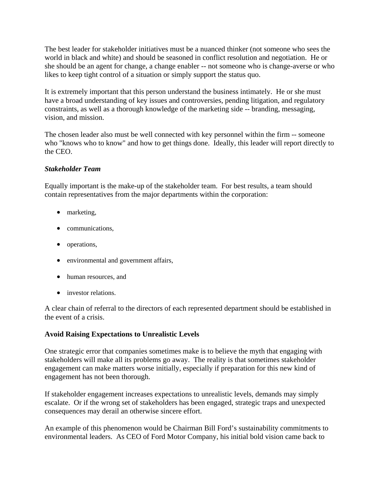The best leader for stakeholder initiatives must be a nuanced thinker (not someone who sees the world in black and white) and should be seasoned in conflict resolution and negotiation. He or she should be an agent for change, a change enabler -- not someone who is change-averse or who likes to keep tight control of a situation or simply support the status quo.

It is extremely important that this person understand the business intimately. He or she must have a broad understanding of key issues and controversies, pending litigation, and regulatory constraints, as well as a thorough knowledge of the marketing side -- branding, messaging, vision, and mission.

The chosen leader also must be well connected with key personnel within the firm -- someone who "knows who to know" and how to get things done. Ideally, this leader will report directly to the CEO.

# *Stakeholder Team*

Equally important is the make-up of the stakeholder team. For best results, a team should contain representatives from the major departments within the corporation:

- marketing,
- communications,
- operations,
- environmental and government affairs,
- human resources, and
- investor relations.

A clear chain of referral to the directors of each represented department should be established in the event of a crisis.

# **Avoid Raising Expectations to Unrealistic Levels**

One strategic error that companies sometimes make is to believe the myth that engaging with stakeholders will make all its problems go away. The reality is that sometimes stakeholder engagement can make matters worse initially, especially if preparation for this new kind of engagement has not been thorough.

If stakeholder engagement increases expectations to unrealistic levels, demands may simply escalate. Or if the wrong set of stakeholders has been engaged, strategic traps and unexpected consequences may derail an otherwise sincere effort.

An example of this phenomenon would be Chairman Bill Ford's sustainability commitments to environmental leaders. As CEO of Ford Motor Company, his initial bold vision came back to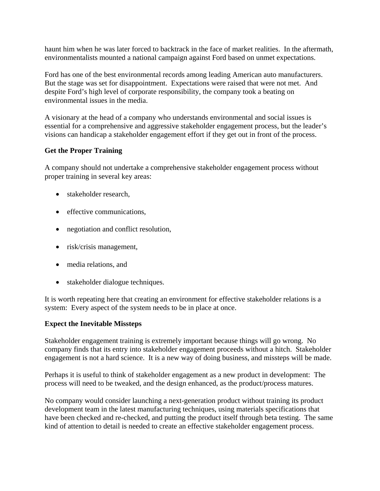haunt him when he was later forced to backtrack in the face of market realities. In the aftermath, environmentalists mounted a national campaign against Ford based on unmet expectations.

Ford has one of the best environmental records among leading American auto manufacturers. But the stage was set for disappointment. Expectations were raised that were not met. And despite Ford's high level of corporate responsibility, the company took a beating on environmental issues in the media.

A visionary at the head of a company who understands environmental and social issues is essential for a comprehensive and aggressive stakeholder engagement process, but the leader's visions can handicap a stakeholder engagement effort if they get out in front of the process.

# **Get the Proper Training**

A company should not undertake a comprehensive stakeholder engagement process without proper training in several key areas:

- stakeholder research,
- effective communications.
- negotiation and conflict resolution,
- risk/crisis management,
- media relations, and
- stakeholder dialogue techniques.

It is worth repeating here that creating an environment for effective stakeholder relations is a system: Every aspect of the system needs to be in place at once.

#### **Expect the Inevitable Missteps**

Stakeholder engagement training is extremely important because things will go wrong. No company finds that its entry into stakeholder engagement proceeds without a hitch. Stakeholder engagement is not a hard science. It is a new way of doing business, and missteps will be made.

Perhaps it is useful to think of stakeholder engagement as a new product in development: The process will need to be tweaked, and the design enhanced, as the product/process matures.

No company would consider launching a next-generation product without training its product development team in the latest manufacturing techniques, using materials specifications that have been checked and re-checked, and putting the product itself through beta testing. The same kind of attention to detail is needed to create an effective stakeholder engagement process.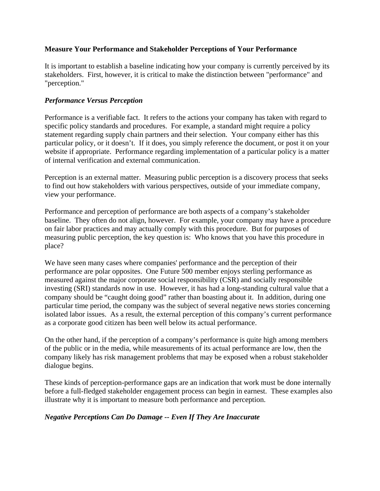#### **Measure Your Performance and Stakeholder Perceptions of Your Performance**

It is important to establish a baseline indicating how your company is currently perceived by its stakeholders. First, however, it is critical to make the distinction between "performance" and "perception."

#### *Performance Versus Perception*

Performance is a verifiable fact. It refers to the actions your company has taken with regard to specific policy standards and procedures. For example, a standard might require a policy statement regarding supply chain partners and their selection. Your company either has this particular policy, or it doesn't. If it does, you simply reference the document, or post it on your website if appropriate. Performance regarding implementation of a particular policy is a matter of internal verification and external communication.

Perception is an external matter. Measuring public perception is a discovery process that seeks to find out how stakeholders with various perspectives, outside of your immediate company, view your performance.

Performance and perception of performance are both aspects of a company's stakeholder baseline. They often do not align, however. For example, your company may have a procedure on fair labor practices and may actually comply with this procedure. But for purposes of measuring public perception, the key question is: Who knows that you have this procedure in place?

We have seen many cases where companies' performance and the perception of their performance are polar opposites. One Future 500 member enjoys sterling performance as measured against the major corporate social responsibility (CSR) and socially responsible investing (SRI) standards now in use. However, it has had a long-standing cultural value that a company should be "caught doing good" rather than boasting about it. In addition, during one particular time period, the company was the subject of several negative news stories concerning isolated labor issues. As a result, the external perception of this company's current performance as a corporate good citizen has been well below its actual performance.

On the other hand, if the perception of a company's performance is quite high among members of the public or in the media, while measurements of its actual performance are low, then the company likely has risk management problems that may be exposed when a robust stakeholder dialogue begins.

These kinds of perception-performance gaps are an indication that work must be done internally before a full-fledged stakeholder engagement process can begin in earnest. These examples also illustrate why it is important to measure both performance and perception.

#### *Negative Perceptions Can Do Damage -- Even If They Are Inaccurate*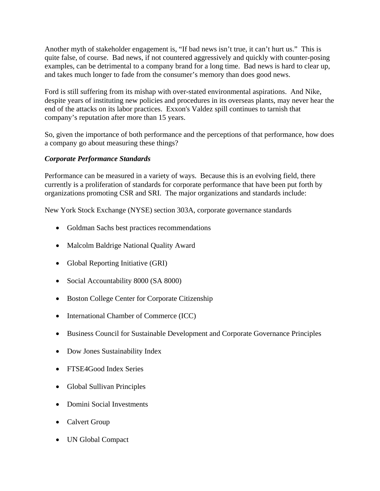Another myth of stakeholder engagement is, "If bad news isn't true, it can't hurt us." This is quite false, of course. Bad news, if not countered aggressively and quickly with counter-posing examples, can be detrimental to a company brand for a long time. Bad news is hard to clear up, and takes much longer to fade from the consumer's memory than does good news.

Ford is still suffering from its mishap with over-stated environmental aspirations. And Nike, despite years of instituting new policies and procedures in its overseas plants, may never hear the end of the attacks on its labor practices. Exxon's Valdez spill continues to tarnish that company's reputation after more than 15 years.

So, given the importance of both performance and the perceptions of that performance, how does a company go about measuring these things?

# *Corporate Performance Standards*

Performance can be measured in a variety of ways. Because this is an evolving field, there currently is a proliferation of standards for corporate performance that have been put forth by organizations promoting CSR and SRI. The major organizations and standards include:

New York Stock Exchange (NYSE) section 303A, corporate governance standards

- Goldman Sachs best practices recommendations
- Malcolm Baldrige National Quality Award
- Global Reporting Initiative (GRI)
- Social Accountability 8000 (SA 8000)
- Boston College Center for Corporate Citizenship
- International Chamber of Commerce (ICC)
- Business Council for Sustainable Development and Corporate Governance Principles
- Dow Jones Sustainability Index
- FTSE4Good Index Series
- Global Sullivan Principles
- Domini Social Investments
- Calvert Group
- UN Global Compact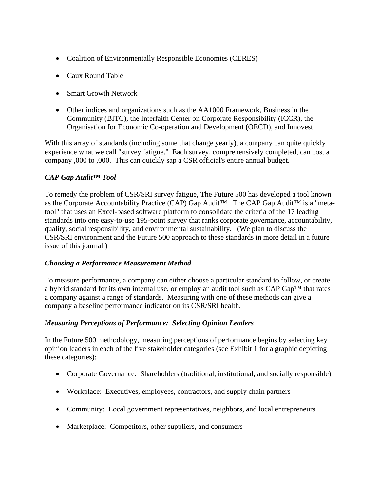- Coalition of Environmentally Responsible Economies (CERES)
- Caux Round Table
- Smart Growth Network
- Other indices and organizations such as the AA1000 Framework, Business in the Community (BITC), the Interfaith Center on Corporate Responsibility (ICCR), the Organisation for Economic Co-operation and Development (OECD), and Innovest

With this array of standards (including some that change yearly), a company can quite quickly experience what we call "survey fatigue." Each survey, comprehensively completed, can cost a company ,000 to ,000. This can quickly sap a CSR official's entire annual budget.

# *CAP Gap Audit™ Tool*

To remedy the problem of CSR/SRI survey fatigue, The Future 500 has developed a tool known as the Corporate Accountability Practice (CAP) Gap Audit™. The CAP Gap Audit™ is a "metatool" that uses an Excel-based software platform to consolidate the criteria of the 17 leading standards into one easy-to-use 195-point survey that ranks corporate governance, accountability, quality, social responsibility, and environmental sustainability. (We plan to discuss the CSR/SRI environment and the Future 500 approach to these standards in more detail in a future issue of this journal.)

#### *Choosing a Performance Measurement Method*

To measure performance, a company can either choose a particular standard to follow, or create a hybrid standard for its own internal use, or employ an audit tool such as  $CAP Gap<sup>TM</sup>$  that rates a company against a range of standards. Measuring with one of these methods can give a company a baseline performance indicator on its CSR/SRI health.

# *Measuring Perceptions of Performance: Selecting Opinion Leaders*

In the Future 500 methodology, measuring perceptions of performance begins by selecting key opinion leaders in each of the five stakeholder categories (see Exhibit 1 for a graphic depicting these categories):

- Corporate Governance: Shareholders (traditional, institutional, and socially responsible)
- Workplace: Executives, employees, contractors, and supply chain partners
- Community: Local government representatives, neighbors, and local entrepreneurs
- Marketplace: Competitors, other suppliers, and consumers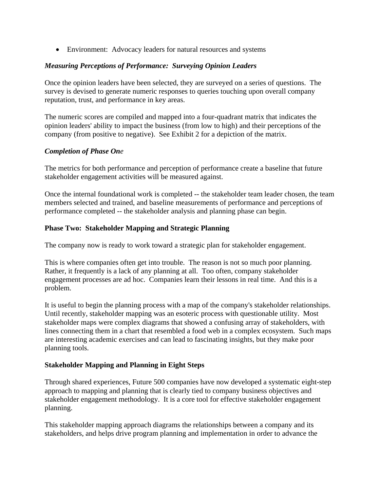• Environment: Advocacy leaders for natural resources and systems

# *Measuring Perceptions of Performance: Surveying Opinion Leaders*

Once the opinion leaders have been selected, they are surveyed on a series of questions. The survey is devised to generate numeric responses to queries touching upon overall company reputation, trust, and performance in key areas.

The numeric scores are compiled and mapped into a four-quadrant matrix that indicates the opinion leaders' ability to impact the business (from low to high) and their perceptions of the company (from positive to negative). See Exhibit 2 for a depiction of the matrix.

# *Completion of Phase One*

The metrics for both performance and perception of performance create a baseline that future stakeholder engagement activities will be measured against.

Once the internal foundational work is completed -- the stakeholder team leader chosen, the team members selected and trained, and baseline measurements of performance and perceptions of performance completed -- the stakeholder analysis and planning phase can begin.

# **Phase Two: Stakeholder Mapping and Strategic Planning**

The company now is ready to work toward a strategic plan for stakeholder engagement.

This is where companies often get into trouble. The reason is not so much poor planning. Rather, it frequently is a lack of any planning at all. Too often, company stakeholder engagement processes are ad hoc. Companies learn their lessons in real time. And this is a problem.

It is useful to begin the planning process with a map of the company's stakeholder relationships. Until recently, stakeholder mapping was an esoteric process with questionable utility. Most stakeholder maps were complex diagrams that showed a confusing array of stakeholders, with lines connecting them in a chart that resembled a food web in a complex ecosystem. Such maps are interesting academic exercises and can lead to fascinating insights, but they make poor planning tools.

# **Stakeholder Mapping and Planning in Eight Steps**

Through shared experiences, Future 500 companies have now developed a systematic eight-step approach to mapping and planning that is clearly tied to company business objectives and stakeholder engagement methodology. It is a core tool for effective stakeholder engagement planning.

This stakeholder mapping approach diagrams the relationships between a company and its stakeholders, and helps drive program planning and implementation in order to advance the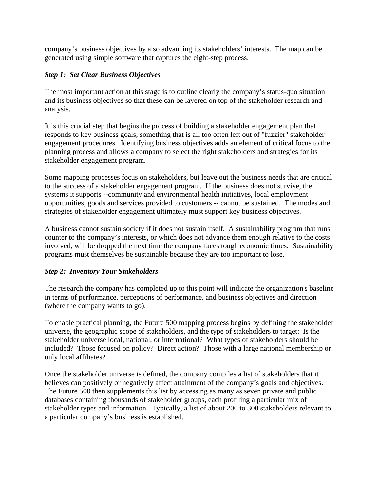company's business objectives by also advancing its stakeholders' interests. The map can be generated using simple software that captures the eight-step process.

# *Step 1: Set Clear Business Objectives*

The most important action at this stage is to outline clearly the company's status-quo situation and its business objectives so that these can be layered on top of the stakeholder research and analysis.

It is this crucial step that begins the process of building a stakeholder engagement plan that responds to key business goals, something that is all too often left out of "fuzzier" stakeholder engagement procedures. Identifying business objectives adds an element of critical focus to the planning process and allows a company to select the right stakeholders and strategies for its stakeholder engagement program.

Some mapping processes focus on stakeholders, but leave out the business needs that are critical to the success of a stakeholder engagement program. If the business does not survive, the systems it supports --community and environmental health initiatives, local employment opportunities, goods and services provided to customers -- cannot be sustained. The modes and strategies of stakeholder engagement ultimately must support key business objectives.

A business cannot sustain society if it does not sustain itself. A sustainability program that runs counter to the company's interests, or which does not advance them enough relative to the costs involved, will be dropped the next time the company faces tough economic times. Sustainability programs must themselves be sustainable because they are too important to lose.

# *Step 2: Inventory Your Stakeholders*

The research the company has completed up to this point will indicate the organization's baseline in terms of performance, perceptions of performance, and business objectives and direction (where the company wants to go).

To enable practical planning, the Future 500 mapping process begins by defining the stakeholder universe, the geographic scope of stakeholders, and the type of stakeholders to target: Is the stakeholder universe local, national, or international? What types of stakeholders should be included? Those focused on policy? Direct action? Those with a large national membership or only local affiliates?

Once the stakeholder universe is defined, the company compiles a list of stakeholders that it believes can positively or negatively affect attainment of the company's goals and objectives. The Future 500 then supplements this list by accessing as many as seven private and public databases containing thousands of stakeholder groups, each profiling a particular mix of stakeholder types and information. Typically, a list of about 200 to 300 stakeholders relevant to a particular company's business is established.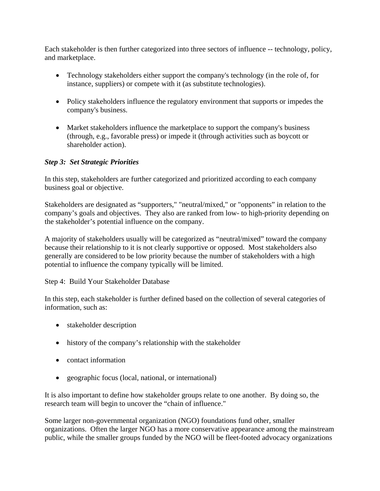Each stakeholder is then further categorized into three sectors of influence -- technology, policy, and marketplace.

- Technology stakeholders either support the company's technology (in the role of, for instance, suppliers) or compete with it (as substitute technologies).
- Policy stakeholders influence the regulatory environment that supports or impedes the company's business.
- Market stakeholders influence the marketplace to support the company's business (through, e.g., favorable press) or impede it (through activities such as boycott or shareholder action).

# *Step 3: Set Strategic Priorities*

In this step, stakeholders are further categorized and prioritized according to each company business goal or objective.

Stakeholders are designated as "supporters," "neutral/mixed," or "opponents" in relation to the company's goals and objectives. They also are ranked from low- to high-priority depending on the stakeholder's potential influence on the company.

A majority of stakeholders usually will be categorized as "neutral/mixed" toward the company because their relationship to it is not clearly supportive or opposed. Most stakeholders also generally are considered to be low priority because the number of stakeholders with a high potential to influence the company typically will be limited.

Step 4: Build Your Stakeholder Database

In this step, each stakeholder is further defined based on the collection of several categories of information, such as:

- stakeholder description
- history of the company's relationship with the stakeholder
- contact information
- geographic focus (local, national, or international)

It is also important to define how stakeholder groups relate to one another. By doing so, the research team will begin to uncover the "chain of influence."

Some larger non-governmental organization (NGO) foundations fund other, smaller organizations. Often the larger NGO has a more conservative appearance among the mainstream public, while the smaller groups funded by the NGO will be fleet-footed advocacy organizations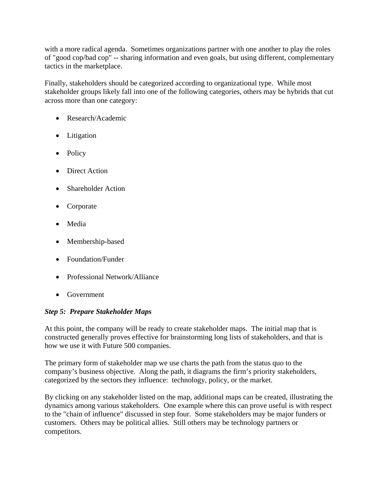with a more radical agenda. Sometimes organizations partner with one another to play the roles of "good cop/bad cop" -- sharing information and even goals, but using different, complementary tactics in the marketplace.

Finally, stakeholders should be categorized according to organizational type. While most stakeholder groups likely fall into one of the following categories, others may be hybrids that cut across more than one category:

- Research/Academic
- Litigation
- Policy
- Direct Action
- Shareholder Action
- Corporate
- Media
- Membership-based
- Foundation/Funder
- Professional Network/Alliance
- Government

# *Step 5: Prepare Stakeholder Maps*

At this point, the company will be ready to create stakeholder maps. The initial map that is constructed generally proves effective for brainstorming long lists of stakeholders, and that is how we use it with Future 500 companies.

The primary form of stakeholder map we use charts the path from the status quo to the company's business objective. Along the path, it diagrams the firm's priority stakeholders, categorized by the sectors they influence: technology, policy, or the market.

By clicking on any stakeholder listed on the map, additional maps can be created, illustrating the dynamics among various stakeholders. One example where this can prove useful is with respect to the "chain of influence" discussed in step four. Some stakeholders may be major funders or customers. Others may be political allies. Still others may be technology partners or competitors.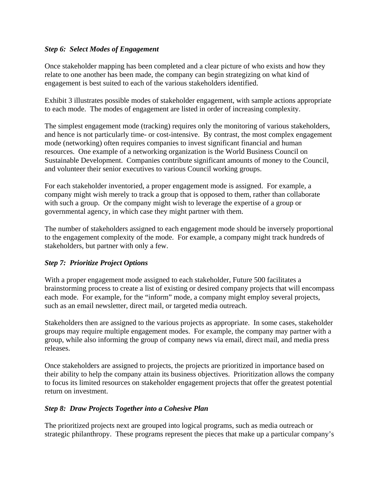#### *Step 6: Select Modes of Engagement*

Once stakeholder mapping has been completed and a clear picture of who exists and how they relate to one another has been made, the company can begin strategizing on what kind of engagement is best suited to each of the various stakeholders identified.

Exhibit 3 illustrates possible modes of stakeholder engagement, with sample actions appropriate to each mode. The modes of engagement are listed in order of increasing complexity.

The simplest engagement mode (tracking) requires only the monitoring of various stakeholders, and hence is not particularly time- or cost-intensive. By contrast, the most complex engagement mode (networking) often requires companies to invest significant financial and human resources. One example of a networking organization is the World Business Council on Sustainable Development. Companies contribute significant amounts of money to the Council, and volunteer their senior executives to various Council working groups.

For each stakeholder inventoried, a proper engagement mode is assigned. For example, a company might wish merely to track a group that is opposed to them, rather than collaborate with such a group. Or the company might wish to leverage the expertise of a group or governmental agency, in which case they might partner with them.

The number of stakeholders assigned to each engagement mode should be inversely proportional to the engagement complexity of the mode. For example, a company might track hundreds of stakeholders, but partner with only a few.

# *Step 7: Prioritize Project Options*

With a proper engagement mode assigned to each stakeholder, Future 500 facilitates a brainstorming process to create a list of existing or desired company projects that will encompass each mode. For example, for the "inform" mode, a company might employ several projects, such as an email newsletter, direct mail, or targeted media outreach.

Stakeholders then are assigned to the various projects as appropriate. In some cases, stakeholder groups may require multiple engagement modes. For example, the company may partner with a group, while also informing the group of company news via email, direct mail, and media press releases.

Once stakeholders are assigned to projects, the projects are prioritized in importance based on their ability to help the company attain its business objectives. Prioritization allows the company to focus its limited resources on stakeholder engagement projects that offer the greatest potential return on investment.

# *Step 8: Draw Projects Together into a Cohesive Plan*

The prioritized projects next are grouped into logical programs, such as media outreach or strategic philanthropy. These programs represent the pieces that make up a particular company's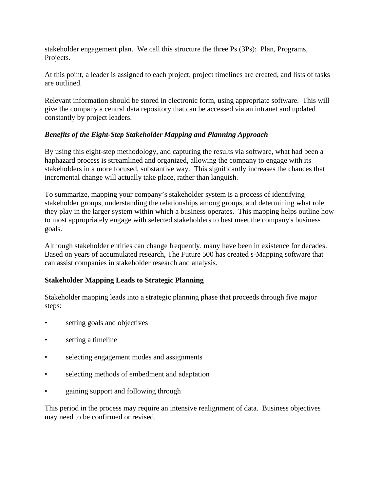stakeholder engagement plan. We call this structure the three Ps (3Ps): Plan, Programs, Projects.

At this point, a leader is assigned to each project, project timelines are created, and lists of tasks are outlined.

Relevant information should be stored in electronic form, using appropriate software. This will give the company a central data repository that can be accessed via an intranet and updated constantly by project leaders.

# *Benefits of the Eight-Step Stakeholder Mapping and Planning Approach*

By using this eight-step methodology, and capturing the results via software, what had been a haphazard process is streamlined and organized, allowing the company to engage with its stakeholders in a more focused, substantive way. This significantly increases the chances that incremental change will actually take place, rather than languish.

To summarize, mapping your company's stakeholder system is a process of identifying stakeholder groups, understanding the relationships among groups, and determining what role they play in the larger system within which a business operates. This mapping helps outline how to most appropriately engage with selected stakeholders to best meet the company's business goals.

Although stakeholder entities can change frequently, many have been in existence for decades. Based on years of accumulated research, The Future 500 has created s-Mapping software that can assist companies in stakeholder research and analysis.

# **Stakeholder Mapping Leads to Strategic Planning**

Stakeholder mapping leads into a strategic planning phase that proceeds through five major steps:

- setting goals and objectives
- setting a timeline
- selecting engagement modes and assignments
- selecting methods of embedment and adaptation
- gaining support and following through

This period in the process may require an intensive realignment of data. Business objectives may need to be confirmed or revised.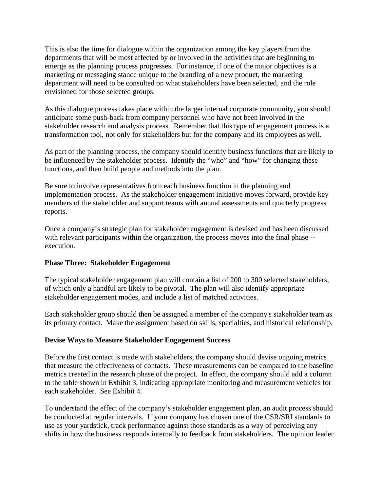This is also the time for dialogue within the organization among the key players from the departments that will be most affected by or involved in the activities that are beginning to emerge as the planning process progresses. For instance, if one of the major objectives is a marketing or messaging stance unique to the branding of a new product, the marketing department will need to be consulted on what stakeholders have been selected, and the role envisioned for those selected groups.

As this dialogue process takes place within the larger internal corporate community, you should anticipate some push-back from company personnel who have not been involved in the stakeholder research and analysis process. Remember that this type of engagement process is a transformation tool, not only for stakeholders but for the company and its employees as well.

As part of the planning process, the company should identify business functions that are likely to be influenced by the stakeholder process. Identify the "who" and "how" for changing these functions, and then build people and methods into the plan.

Be sure to involve representatives from each business function in the planning and implementation process. As the stakeholder engagement initiative moves forward, provide key members of the stakeholder and support teams with annual assessments and quarterly progress reports.

Once a company's strategic plan for stakeholder engagement is devised and has been discussed with relevant participants within the organization, the process moves into the final phase -execution.

# **Phase Three: Stakeholder Engagement**

The typical stakeholder engagement plan will contain a list of 200 to 300 selected stakeholders, of which only a handful are likely to be pivotal. The plan will also identify appropriate stakeholder engagement modes, and include a list of matched activities.

Each stakeholder group should then be assigned a member of the company's stakeholder team as its primary contact. Make the assignment based on skills, specialties, and historical relationship.

# **Devise Ways to Measure Stakeholder Engagement Success**

Before the first contact is made with stakeholders, the company should devise ongoing metrics that measure the effectiveness of contacts. These measurements can be compared to the baseline metrics created in the research phase of the project. In effect, the company should add a column to the table shown in Exhibit 3, indicating appropriate monitoring and measurement vehicles for each stakeholder. See Exhibit 4.

To understand the effect of the company's stakeholder engagement plan, an audit process should be conducted at regular intervals. If your company has chosen one of the CSR/SRI standards to use as your yardstick, track performance against those standards as a way of perceiving any shifts in how the business responds internally to feedback from stakeholders. The opinion leader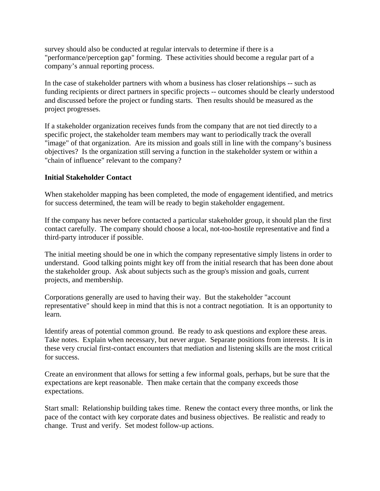survey should also be conducted at regular intervals to determine if there is a "performance/perception gap" forming. These activities should become a regular part of a company's annual reporting process.

In the case of stakeholder partners with whom a business has closer relationships -- such as funding recipients or direct partners in specific projects -- outcomes should be clearly understood and discussed before the project or funding starts. Then results should be measured as the project progresses.

If a stakeholder organization receives funds from the company that are not tied directly to a specific project, the stakeholder team members may want to periodically track the overall "image" of that organization. Are its mission and goals still in line with the company's business objectives? Is the organization still serving a function in the stakeholder system or within a "chain of influence" relevant to the company?

#### **Initial Stakeholder Contact**

When stakeholder mapping has been completed, the mode of engagement identified, and metrics for success determined, the team will be ready to begin stakeholder engagement.

If the company has never before contacted a particular stakeholder group, it should plan the first contact carefully. The company should choose a local, not-too-hostile representative and find a third-party introducer if possible.

The initial meeting should be one in which the company representative simply listens in order to understand. Good talking points might key off from the initial research that has been done about the stakeholder group. Ask about subjects such as the group's mission and goals, current projects, and membership.

Corporations generally are used to having their way. But the stakeholder "account representative" should keep in mind that this is not a contract negotiation. It is an opportunity to learn.

Identify areas of potential common ground. Be ready to ask questions and explore these areas. Take notes. Explain when necessary, but never argue. Separate positions from interests. It is in these very crucial first-contact encounters that mediation and listening skills are the most critical for success.

Create an environment that allows for setting a few informal goals, perhaps, but be sure that the expectations are kept reasonable. Then make certain that the company exceeds those expectations.

Start small: Relationship building takes time. Renew the contact every three months, or link the pace of the contact with key corporate dates and business objectives. Be realistic and ready to change. Trust and verify. Set modest follow-up actions.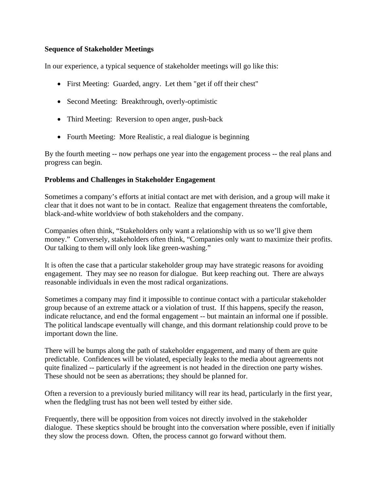#### **Sequence of Stakeholder Meetings**

In our experience, a typical sequence of stakeholder meetings will go like this:

- First Meeting: Guarded, angry. Let them "get if off their chest"
- Second Meeting: Breakthrough, overly-optimistic
- Third Meeting: Reversion to open anger, push-back
- Fourth Meeting: More Realistic, a real dialogue is beginning

By the fourth meeting -- now perhaps one year into the engagement process -- the real plans and progress can begin.

#### **Problems and Challenges in Stakeholder Engagement**

Sometimes a company's efforts at initial contact are met with derision, and a group will make it clear that it does not want to be in contact. Realize that engagement threatens the comfortable, black-and-white worldview of both stakeholders and the company.

Companies often think, "Stakeholders only want a relationship with us so we'll give them money." Conversely, stakeholders often think, "Companies only want to maximize their profits. Our talking to them will only look like green-washing."

It is often the case that a particular stakeholder group may have strategic reasons for avoiding engagement. They may see no reason for dialogue. But keep reaching out. There are always reasonable individuals in even the most radical organizations.

Sometimes a company may find it impossible to continue contact with a particular stakeholder group because of an extreme attack or a violation of trust. If this happens, specify the reason, indicate reluctance, and end the formal engagement -- but maintain an informal one if possible. The political landscape eventually will change, and this dormant relationship could prove to be important down the line.

There will be bumps along the path of stakeholder engagement, and many of them are quite predictable. Confidences will be violated, especially leaks to the media about agreements not quite finalized -- particularly if the agreement is not headed in the direction one party wishes. These should not be seen as aberrations; they should be planned for.

Often a reversion to a previously buried militancy will rear its head, particularly in the first year, when the fledgling trust has not been well tested by either side.

Frequently, there will be opposition from voices not directly involved in the stakeholder dialogue. These skeptics should be brought into the conversation where possible, even if initially they slow the process down. Often, the process cannot go forward without them.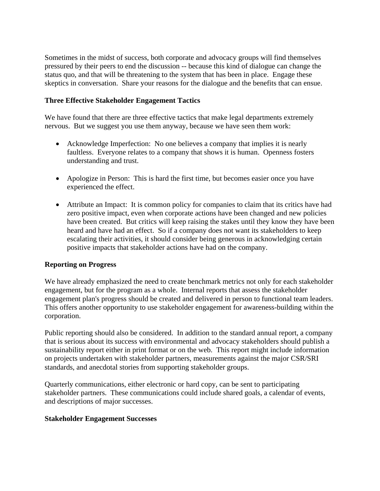Sometimes in the midst of success, both corporate and advocacy groups will find themselves pressured by their peers to end the discussion -- because this kind of dialogue can change the status quo, and that will be threatening to the system that has been in place. Engage these skeptics in conversation. Share your reasons for the dialogue and the benefits that can ensue.

# **Three Effective Stakeholder Engagement Tactics**

We have found that there are three effective tactics that make legal departments extremely nervous. But we suggest you use them anyway, because we have seen them work:

- Acknowledge Imperfection: No one believes a company that implies it is nearly faultless. Everyone relates to a company that shows it is human. Openness fosters understanding and trust.
- Apologize in Person: This is hard the first time, but becomes easier once you have experienced the effect.
- Attribute an Impact: It is common policy for companies to claim that its critics have had zero positive impact, even when corporate actions have been changed and new policies have been created. But critics will keep raising the stakes until they know they have been heard and have had an effect. So if a company does not want its stakeholders to keep escalating their activities, it should consider being generous in acknowledging certain positive impacts that stakeholder actions have had on the company.

# **Reporting on Progress**

We have already emphasized the need to create benchmark metrics not only for each stakeholder engagement, but for the program as a whole. Internal reports that assess the stakeholder engagement plan's progress should be created and delivered in person to functional team leaders. This offers another opportunity to use stakeholder engagement for awareness-building within the corporation.

Public reporting should also be considered. In addition to the standard annual report, a company that is serious about its success with environmental and advocacy stakeholders should publish a sustainability report either in print format or on the web. This report might include information on projects undertaken with stakeholder partners, measurements against the major CSR/SRI standards, and anecdotal stories from supporting stakeholder groups.

Quarterly communications, either electronic or hard copy, can be sent to participating stakeholder partners. These communications could include shared goals, a calendar of events, and descriptions of major successes.

#### **Stakeholder Engagement Successes**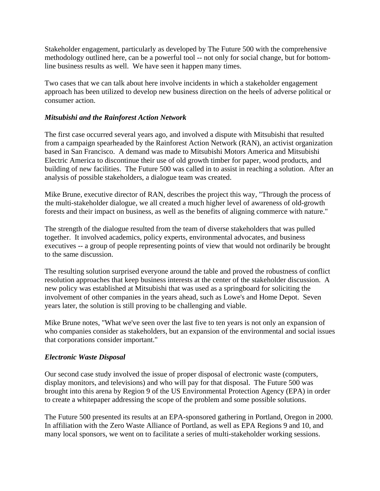Stakeholder engagement, particularly as developed by The Future 500 with the comprehensive methodology outlined here, can be a powerful tool -- not only for social change, but for bottomline business results as well. We have seen it happen many times.

Two cases that we can talk about here involve incidents in which a stakeholder engagement approach has been utilized to develop new business direction on the heels of adverse political or consumer action.

#### *Mitsubishi and the Rainforest Action Network*

The first case occurred several years ago, and involved a dispute with Mitsubishi that resulted from a campaign spearheaded by the Rainforest Action Network (RAN), an activist organization based in San Francisco. A demand was made to Mitsubishi Motors America and Mitsubishi Electric America to discontinue their use of old growth timber for paper, wood products, and building of new facilities. The Future 500 was called in to assist in reaching a solution. After an analysis of possible stakeholders, a dialogue team was created.

Mike Brune, executive director of RAN, describes the project this way, "Through the process of the multi-stakeholder dialogue, we all created a much higher level of awareness of old-growth forests and their impact on business, as well as the benefits of aligning commerce with nature."

The strength of the dialogue resulted from the team of diverse stakeholders that was pulled together. It involved academics, policy experts, environmental advocates, and business executives -- a group of people representing points of view that would not ordinarily be brought to the same discussion.

The resulting solution surprised everyone around the table and proved the robustness of conflict resolution approaches that keep business interests at the center of the stakeholder discussion. A new policy was established at Mitsubishi that was used as a springboard for soliciting the involvement of other companies in the years ahead, such as Lowe's and Home Depot. Seven years later, the solution is still proving to be challenging and viable.

Mike Brune notes, "What we've seen over the last five to ten years is not only an expansion of who companies consider as stakeholders, but an expansion of the environmental and social issues that corporations consider important."

# *Electronic Waste Disposal*

Our second case study involved the issue of proper disposal of electronic waste (computers, display monitors, and televisions) and who will pay for that disposal. The Future 500 was brought into this arena by Region 9 of the US Environmental Protection Agency (EPA) in order to create a whitepaper addressing the scope of the problem and some possible solutions.

The Future 500 presented its results at an EPA-sponsored gathering in Portland, Oregon in 2000. In affiliation with the Zero Waste Alliance of Portland, as well as EPA Regions 9 and 10, and many local sponsors, we went on to facilitate a series of multi-stakeholder working sessions.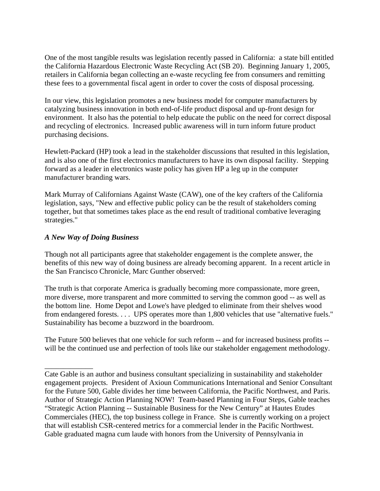One of the most tangible results was legislation recently passed in California: a state bill entitled the California Hazardous Electronic Waste Recycling Act (SB 20). Beginning January 1, 2005, retailers in California began collecting an e-waste recycling fee from consumers and remitting these fees to a governmental fiscal agent in order to cover the costs of disposal processing.

In our view, this legislation promotes a new business model for computer manufacturers by catalyzing business innovation in both end-of-life product disposal and up-front design for environment. It also has the potential to help educate the public on the need for correct disposal and recycling of electronics. Increased public awareness will in turn inform future product purchasing decisions.

Hewlett-Packard (HP) took a lead in the stakeholder discussions that resulted in this legislation, and is also one of the first electronics manufacturers to have its own disposal facility. Stepping forward as a leader in electronics waste policy has given HP a leg up in the computer manufacturer branding wars.

Mark Murray of Californians Against Waste (CAW), one of the key crafters of the California legislation, says, "New and effective public policy can be the result of stakeholders coming together, but that sometimes takes place as the end result of traditional combative leveraging strategies."

# *A New Way of Doing Business*

\_\_\_\_\_\_\_\_\_\_\_\_\_

Though not all participants agree that stakeholder engagement is the complete answer, the benefits of this new way of doing business are already becoming apparent. In a recent article in the San Francisco Chronicle, Marc Gunther observed:

The truth is that corporate America is gradually becoming more compassionate, more green, more diverse, more transparent and more committed to serving the common good -- as well as the bottom line. Home Depot and Lowe's have pledged to eliminate from their shelves wood from endangered forests. . . . UPS operates more than 1,800 vehicles that use "alternative fuels." Sustainability has become a buzzword in the boardroom.

The Future 500 believes that one vehicle for such reform -- and for increased business profits - will be the continued use and perfection of tools like our stakeholder engagement methodology.

Cate Gable is an author and business consultant specializing in sustainability and stakeholder engagement projects. President of Axioun Communications International and Senior Consultant for the Future 500, Gable divides her time between California, the Pacific Northwest, and Paris. Author of Strategic Action Planning NOW! Team-based Planning in Four Steps, Gable teaches "Strategic Action Planning -- Sustainable Business for the New Century" at Hautes Etudes Commerciales (HEC), the top business college in France. She is currently working on a project that will establish CSR-centered metrics for a commercial lender in the Pacific Northwest. Gable graduated magna cum laude with honors from the University of Pennsylvania in